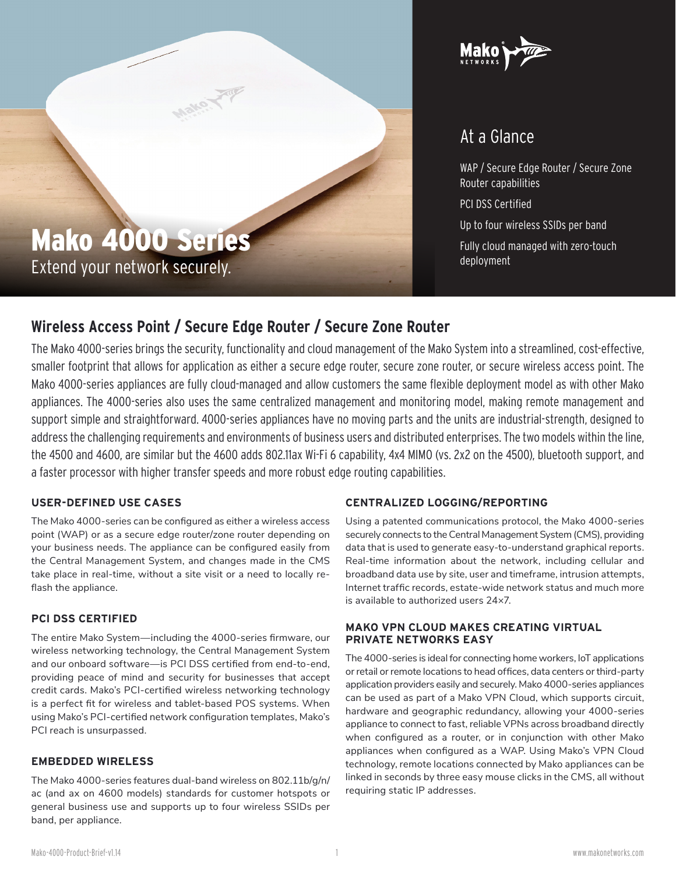



## At a Glance

WAP / Secure Edge Router / Secure Zone Router capabilities PCI DSS Certified Up to four wireless SSIDs per band Fully cloud managed with zero-touch deployment

## **Wireless Access Point / Secure Edge Router / Secure Zone Router**

The Mako 4000-series brings the security, functionality and cloud management of the Mako System into a streamlined, cost-effective, smaller footprint that allows for application as either a secure edge router, secure zone router, or secure wireless access point. The Mako 4000-series appliances are fully cloud-managed and allow customers the same flexible deployment model as with other Mako appliances. The 4000-series also uses the same centralized management and monitoring model, making remote management and support simple and straightforward. 4000-series appliances have no moving parts and the units are industrial-strength, designed to address the challenging requirements and environments of business users and distributed enterprises. The two models within the line, the 4500 and 4600, are similar but the 4600 adds 802.11ax Wi-Fi 6 capability, 4x4 MIMO (vs. 2x2 on the 4500), bluetooth support, and a faster processor with higher transfer speeds and more robust edge routing capabilities.

#### **USER-DEFINED USE CASES**

The Mako 4000-series can be configured as either a wireless access point (WAP) or as a secure edge router/zone router depending on your business needs. The appliance can be configured easily from the Central Management System, and changes made in the CMS take place in real-time, without a site visit or a need to locally reflash the appliance.

#### **PCI DSS CERTIFIED**

The entire Mako System—including the 4000-series firmware, our wireless networking technology, the Central Management System and our onboard software—is PCI DSS certified from end‐to‐end, providing peace of mind and security for businesses that accept credit cards. Mako's PCI-certified wireless networking technology is a perfect fit for wireless and tablet‐based POS systems. When using Mako's PCI-certified network configuration templates, Mako's PCI reach is unsurpassed.

#### **EMBEDDED WIRELESS**

The Mako 4000‐series features dual‐band wireless on 802.11b/g/n/ ac (and ax on 4600 models) standards for customer hotspots or general business use and supports up to four wireless SSIDs per band, per appliance.

#### **CENTRALIZED LOGGING/REPORTING**

Using a patented communications protocol, the Mako 4000-series securely connects to the Central Management System (CMS), providing data that is used to generate easy-to-understand graphical reports. Real-time information about the network, including cellular and broadband data use by site, user and timeframe, intrusion attempts, Internet traffic records, estate-wide network status and much more is available to authorized users 24×7.

#### **MAKO VPN CLOUD MAKES CREATING VIRTUAL PRIVATE NETWORKS EASY**

The 4000-series is ideal for connecting home workers, IoT applications or retail or remote locations to head offices, data centers or third-party application providers easily and securely. Mako 4000-series appliances can be used as part of a Mako VPN Cloud, which supports circuit, hardware and geographic redundancy, allowing your 4000-series appliance to connect to fast, reliable VPNs across broadband directly when configured as a router, or in conjunction with other Mako appliances when configured as a WAP. Using Mako's VPN Cloud technology, remote locations connected by Mako appliances can be linked in seconds by three easy mouse clicks in the CMS, all without requiring static IP addresses.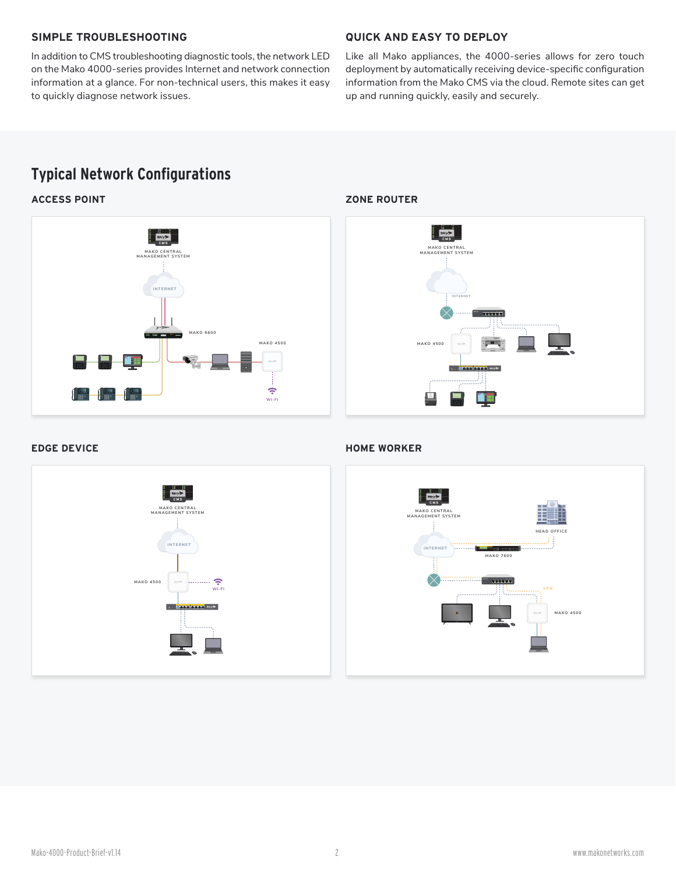#### **SIMPLE TROUBLESHOOTING**

In addition to CMS troubleshooting diagnostic tools, the network LED on the Mako 4000-series provides Internet and network connection information at a glance. For non‐technical users, this makes it easy to quickly diagnose network issues.

#### **QUICK AND EASY TO DEPLOY**

Like all Mako appliances, the 4000-series allows for zero touch deployment by automatically receiving device-specific configuration information from the Mako CMS via the cloud. Remote sites can get up and running quickly, easily and securely.

## **Typical Network Configurations**

#### **ACCESS POINT**



#### **ZONE ROUTER**



#### **EDGE DEVICE**



#### **HOME WORKER**

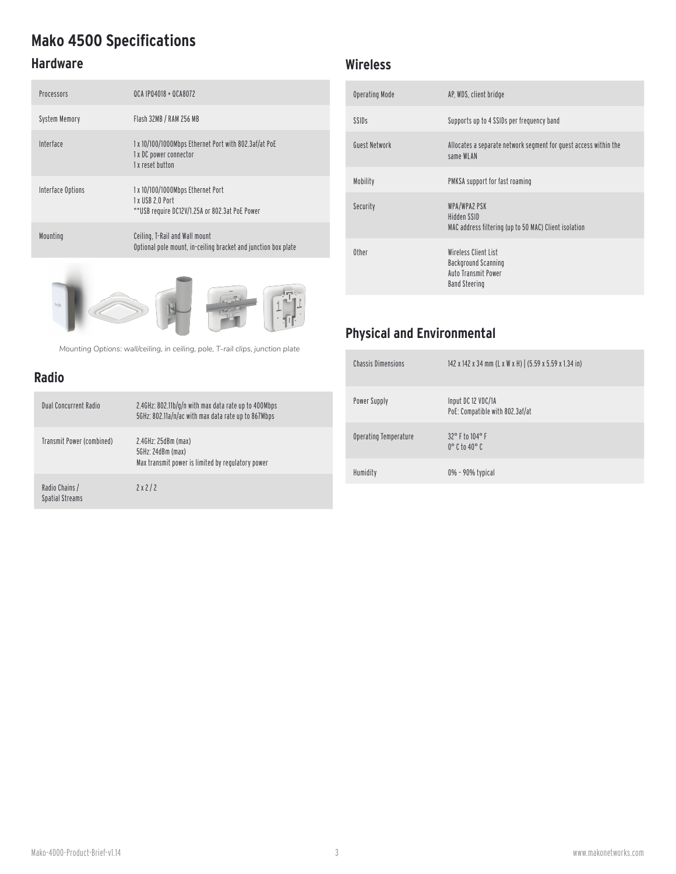# **Mako 4500 Specifications**

## **Hardware**

| Processors        | $0$ CA IPO4018 + OCA8072                                                                                  |
|-------------------|-----------------------------------------------------------------------------------------------------------|
| System Memory     | Flash 32MB / RAM 256 MB                                                                                   |
| Interface         | 1 x 10/100/1000Mbps Ethernet Port with 802.3af/at PoE<br>1 x DC power connector<br>1 x reset button       |
| Interface Options | 1 x 10/100/1000Mbps Ethernet Port<br>1 x IISB 2 0 Port<br>** USB require DC12V/1.25A or 802.3at PoE Power |
| Mounting          | Ceiling, T-Rail and Wall mount<br>Optional pole mount, in-ceiling bracket and junction box plate          |
|                   |                                                                                                           |



*Mounting Options: wall/ceiling, in ceiling, pole, T-rail clips, junction plate*

### **Radio**

| <b>Dual Concurrent Radio</b>             | 2.4GHz: 802.11b/g/n with max data rate up to 400Mbps<br>5GHz: 802.11a/n/ac with max data rate up to 867Mbps |
|------------------------------------------|-------------------------------------------------------------------------------------------------------------|
| Transmit Power (combined)                | 2.4GHz: 25dBm (max)<br>5GHz: 24dBm (max)<br>Max transmit power is limited by regulatory power               |
| Radio Chains /<br><b>Spatial Streams</b> | 2x2/2                                                                                                       |

### **Wireless**

| <b>Operating Mode</b> | AP, WDS, client bridge                                                                     |
|-----------------------|--------------------------------------------------------------------------------------------|
| SSIDS                 | Supports up to 4 SSIDs per frequency band                                                  |
| Guest Network         | Allocates a separate network segment for quest access within the<br>same WLAN              |
| Mobility              | PMKSA support for fast roaming                                                             |
| Security              | WPA/WPA2 PSK<br>Hidden SSID<br>MAC address filtering (up to 50 MAC) Client isolation       |
| Other                 | Wireless Client List<br>Background Scanning<br>Auto Transmit Power<br><b>Band Steering</b> |

## **Physical and Environmental**

| <b>Chassis Dimensions</b> | 142 x 142 x 34 mm (L x W x H)   (5.59 x 5.59 x 1.34 in) |
|---------------------------|---------------------------------------------------------|
| Power Supply              | Input DC 12 VDC/1A<br>PoE: Compatible with 802.3af/at   |
| Operating Temperature     | 32° F to 104° F<br>$0^{\circ}$ C to 40 $^{\circ}$ C     |
| Humidity                  | 0% - 90% typical                                        |